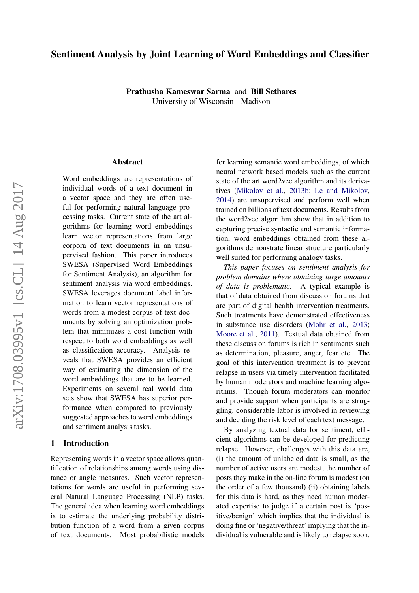# Sentiment Analysis by Joint Learning of Word Embeddings and Classifier

Prathusha Kameswar Sarma and Bill Sethares University of Wisconsin - Madison

#### Abstract

Word embeddings are representations of individual words of a text document in a vector space and they are often useful for performing natural language processing tasks. Current state of the art algorithms for learning word embeddings learn vector representations from large corpora of text documents in an unsupervised fashion. This paper introduces SWESA (Supervised Word Embeddings for Sentiment Analysis), an algorithm for sentiment analysis via word embeddings. SWESA leverages document label information to learn vector representations of words from a modest corpus of text documents by solving an optimization problem that minimizes a cost function with respect to both word embeddings as well as classification accuracy. Analysis reveals that SWESA provides an efficient way of estimating the dimension of the word embeddings that are to be learned. Experiments on several real world data sets show that SWESA has superior performance when compared to previously suggested approaches to word embeddings and sentiment analysis tasks.

## 1 Introduction

Representing words in a vector space allows quantification of relationships among words using distance or angle measures. Such vector representations for words are useful in performing several Natural Language Processing (NLP) tasks. The general idea when learning word embeddings is to estimate the underlying probability distribution function of a word from a given corpus of text documents. Most probabilistic models

for learning semantic word embeddings, of which neural network based models such as the current state of the art word2vec algorithm and its derivatives [\(Mikolov et al.,](#page-8-0) [2013b;](#page-8-0) [Le and Mikolov,](#page-8-1) [2014\)](#page-8-1) are unsupervised and perform well when trained on billions of text documents. Results from the word2vec algorithm show that in addition to capturing precise syntactic and semantic information, word embeddings obtained from these algorithms demonstrate linear structure particularly well suited for performing analogy tasks.

*This paper focuses on sentiment analysis for problem domains where obtaining large amounts of data is problematic*. A typical example is that of data obtained from discussion forums that are part of digital health intervention treatments. Such treatments have demonstrated effectiveness in substance use disorders [\(Mohr et al.,](#page-8-2) [2013;](#page-8-2) [Moore et al.,](#page-8-3) [2011\)](#page-8-3). Textual data obtained from these discussion forums is rich in sentiments such as determination, pleasure, anger, fear etc. The goal of this intervention treatment is to prevent relapse in users via timely intervention facilitated by human moderators and machine learning algorithms. Though forum moderators can monitor and provide support when participants are struggling, considerable labor is involved in reviewing and deciding the risk level of each text message.

By analyzing textual data for sentiment, efficient algorithms can be developed for predicting relapse. However, challenges with this data are, (i) the amount of unlabeled data is small, as the number of active users are modest, the number of posts they make in the on-line forum is modest (on the order of a few thousand) (ii) obtaining labels for this data is hard, as they need human moderated expertise to judge if a certain post is 'positive/benign' which implies that the individual is doing fine or 'negative/threat' implying that the individual is vulnerable and is likely to relapse soon.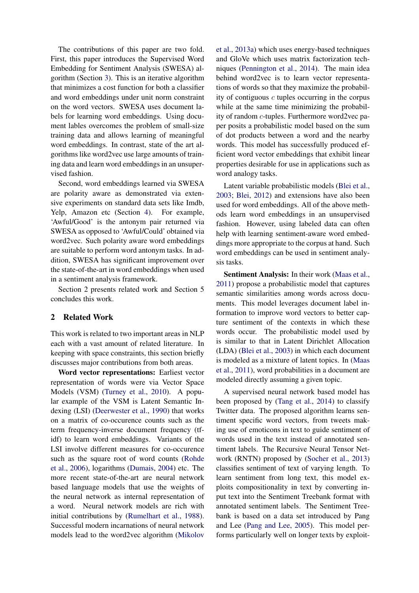The contributions of this paper are two fold. First, this paper introduces the Supervised Word Embedding for Sentiment Analysis (SWESA) algorithm (Section [3\)](#page-2-0). This is an iterative algorithm that minimizes a cost function for both a classifier and word embeddings under unit norm constraint on the word vectors. SWESA uses document labels for learning word embeddings. Using document lables overcomes the problem of small-size training data and allows learning of meaningful word embeddings. In contrast, state of the art algorithms like word2vec use large amounts of training data and learn word embeddings in an unsupervised fashion.

Second, word embeddings learned via SWESA are polarity aware as demonstrated via extensive experiments on standard data sets like Imdb, Yelp, Amazon etc (Section [4\)](#page-5-0). For example, 'Awful/Good' is the antonym pair returned via SWESA as opposed to 'Awful/Could' obtained via word2vec. Such polarity aware word embeddings are suitable to perform word antonym tasks. In addition, SWESA has significant improvement over the state-of-the-art in word embeddings when used in a sentiment analysis framework.

Section 2 presents related work and Section 5 concludes this work.

### 2 Related Work

This work is related to two important areas in NLP each with a vast amount of related literature. In keeping with space constraints, this section briefly discusses major contributions from both areas.

Word vector representations: Earliest vector representation of words were via Vector Space Models (VSM) [\(Turney et al.,](#page-9-0) [2010\)](#page-9-0). A popular example of the VSM is Latent Semantic Indexing (LSI) [\(Deerwester et al.,](#page-8-4) [1990\)](#page-8-4) that works on a matrix of co-occurence counts such as the term frequency-inverse document frequency (tfidf) to learn word embeddings. Variants of the LSI involve different measures for co-occurence such as the square root of word counts [\(Rohde](#page-8-5) [et al.,](#page-8-5) [2006\)](#page-8-5), logarithms [\(Dumais,](#page-8-6) [2004\)](#page-8-6) etc. The more recent state-of-the-art are neural network based language models that use the weights of the neural network as internal representation of a word. Neural network models are rich with initial contributions by [\(Rumelhart et al.,](#page-8-7) [1988\)](#page-8-7). Successful modern incarnations of neural network models lead to the word2vec algorithm [\(Mikolov](#page-8-8)

[et al.,](#page-8-8) [2013a\)](#page-8-8) which uses energy-based techniques and GloVe which uses matrix factorization techniques [\(Pennington et al.,](#page-8-9) [2014\)](#page-8-9). The main idea behind word2vec is to learn vector representations of words so that they maximize the probability of contiguous  $c$  tuples occurring in the corpus while at the same time minimizing the probability of random c-tuples. Furthermore word2vec paper posits a probabilistic model based on the sum of dot products between a word and the nearby words. This model has successfully produced efficient word vector embeddings that exhibit linear properties desirable for use in applications such as word analogy tasks.

Latent variable probabilistic models [\(Blei et al.,](#page-8-10) [2003;](#page-8-10) [Blei,](#page-7-0) [2012\)](#page-7-0) and extensions have also been used for word embeddings. All of the above methods learn word embeddings in an unsupervised fashion. However, using labeled data can often help with learning sentiment-aware word embeddings more appropriate to the corpus at hand. Such word embeddings can be used in sentiment analysis tasks.

Sentiment Analysis: In their work [\(Maas et al.,](#page-8-11) [2011\)](#page-8-11) propose a probabilistic model that captures semantic similarities among words across documents. This model leverages document label information to improve word vectors to better capture sentiment of the contexts in which these words occur. The probabilistic model used by is similar to that in Latent Dirichlet Allocation (LDA) [\(Blei et al.,](#page-8-10) [2003\)](#page-8-10) in which each document is modeled as a mixture of latent topics. In [\(Maas](#page-8-11) [et al.,](#page-8-11) [2011\)](#page-8-11), word probabilities in a document are modeled directly assuming a given topic.

A supervised neural network based model has been proposed by [\(Tang et al.,](#page-9-1) [2014\)](#page-9-1) to classify Twitter data. The proposed algorithm learns sentiment specific word vectors, from tweets making use of emoticons in text to guide sentiment of words used in the text instead of annotated sentiment labels. The Recursive Neural Tensor Network (RNTN) proposed by [\(Socher et al.,](#page-8-12) [2013\)](#page-8-12) classifies sentiment of text of varying length. To learn sentiment from long text, this model exploits compositionality in text by converting input text into the Sentiment Treebank format with annotated sentiment labels. The Sentiment Treebank is based on a data set introduced by Pang and Lee [\(Pang and Lee,](#page-8-13) [2005\)](#page-8-13). This model performs particularly well on longer texts by exploit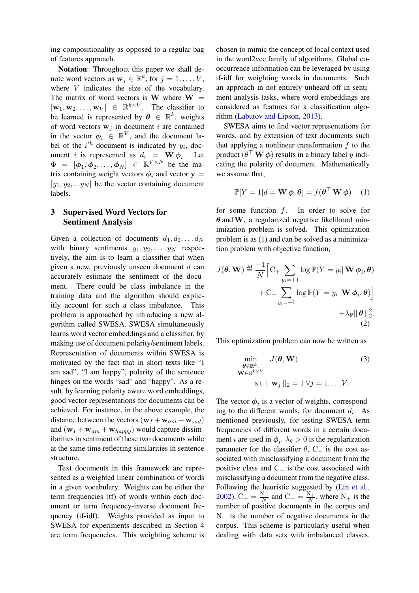ing compositionality as opposed to a regular bag of features approach.

Notation: Throughout this paper we shall denote word vectors as  $\mathbf{w}_j \in \mathbb{R}^k$ , for  $j = 1, \dots, V$ , where *V* indicates the size of the vocabulary. The matrix of word vectors is **W** where  $W =$  $[\mathbf{w}_1, \mathbf{w}_2, \dots, \mathbf{w}_V] \in \mathbb{R}^{k \times V}$ . The classifier to be learned is represented by  $\boldsymbol{\theta} \in \mathbb{R}^k$ , weights of word vectors  $w_i$  in document i are contained in the vector  $\phi_i \in \mathbb{R}^V$ , and the document label of the  $i^{th}$  document is indicated by  $y_i$ , document *i* is represented as  $d_i = W \phi_i$ . Let  $\Phi = [\phi_1, \phi_2, \dots, \phi_N] \in \mathbb{R}^{V \times N}$  be the matrix containing weight vectors  $\phi_i$  and vector  $y =$  $[y_1, y_2, ... y_N]$  be the vector containing document labels.

# <span id="page-2-0"></span>3 Supervised Word Vectors for Sentiment Analysis

Given a collection of documents  $d_1, d_2, \ldots d_N$ with binary sentiments  $y_1, y_2, \ldots, y_N$  respectively, the aim is to learn a classifier that when given a new, previously unseen document  $d$  can accurately estimate the sentiment of the document. There could be class imbalance in the training data and the algorithm should explicitly account for such a class imbalance. This problem is approached by introducing a new algorithm called SWESA. SWESA simultaneously learns word vector embeddings and a classifier, by making use of document polarity/sentiment labels. Representation of documents within SWESA is motivated by the fact that in short texts like "I am sad", "I am happy", polarity of the sentence hinges on the words "sad" and "happy". As a result, by learning polarity aware word embeddings, good vector representations for documents can be achieved. For instance, in the above example, the distance between the vectors  $(\mathbf{w}_I + \mathbf{w}_{am} + \mathbf{w}_{sad})$ and  $(\mathbf{w}_I + \mathbf{w}_{am} + \mathbf{w}_{happy})$  would capture dissimilarities in sentiment of these two documents while at the same time reflecting similarities in sentence structure.

Text documents in this framework are represented as a weighted linear combination of words in a given vocabulary. Weights can be either the term frequencies (tf) of words within each document or term frequency-inverse document frequency (tf-idf). Weights provided as input to SWESA for experiments described in Section 4 are term frequencies. This weighting scheme is

chosen to mimic the concept of local context used in the word2vec family of algorithms. Global cooccurrence information can be leveraged by using tf-idf for weighting words in documents. Such an approach in not entirely unheard off in sentiment analysis tasks, where word embeddings are considered as features for a classification algorithm [\(Labutov and Lipson,](#page-8-14) [2013\)](#page-8-14).

SWESA aims to find vector representations for words, and by extension of text documents such that applying a nonlinear transformation  $f$  to the product  $(\theta^{\top} \mathbf{W} \phi)$  results in a binary label y indicating the polarity of document. Mathematically we assume that,

<span id="page-2-3"></span><span id="page-2-1"></span>
$$
\mathbb{P}[Y=1|d=\mathbf{W}\,\boldsymbol{\phi},\boldsymbol{\theta}] = f(\boldsymbol{\theta}^\top\,\mathbf{W}\,\boldsymbol{\phi}) \quad (1)
$$

for some function  $f$ . In order to solve for  $\theta$  and W, a regularized negative likelihood minimization problem is solved. This optimization problem is as [\(1\)](#page-2-1) and can be solved as a minimization problem with objective function,

$$
J(\theta, \mathbf{W}) \stackrel{\text{def}}{=} \frac{-1}{N} \Big[ C_+ \sum_{y_i = +1} \log \mathbb{P}(Y = y_i | \mathbf{W} \phi_i, \theta) + C_- \sum_{y_i = -1} \log \mathbb{P}(Y = y_i | \mathbf{W} \phi_i, \theta) \Big] + \lambda_{\theta} ||\theta||_2^2.
$$
\n(2)

This optimization problem can now be written as

<span id="page-2-2"></span>
$$
\min_{\substack{\theta \in \mathbb{R}^k, \\ \mathbf{W} \in \mathbb{R}^{k \times V}}} J(\theta, \mathbf{W})
$$
(3)  
s.t. 
$$
\|\mathbf{w}_j\|_2 = 1 \,\forall j = 1, \dots V.
$$

The vector  $\phi_i$  is a vector of weights, corresponding to the different words, for document  $d_i$ . As mentioned previously, for testing SWESA term frequencies of different words in a certain document *i* are used in  $\phi_i$ .  $\lambda_\theta > 0$  is the regularization parameter for the classifier  $\theta$ ,  $C_+$  is the cost associated with misclassifying a document from the positive class and  $C_$  is the cost associated with misclassifying a document from the negative class. Following the heuristic suggested by [\(Lin et al.,](#page-8-15) [2002\)](#page-8-15),  $C_+ = \frac{N_-}{N}$  $\frac{N}{N}$  and  $C_-=\frac{N_+}{N}$  $\frac{N_+}{N_+}$ , where  $N_+$  is the number of positive documents in the corpus and N<sup>−</sup> is the number of negative documents in the corpus. This scheme is particularly useful when dealing with data sets with imbalanced classes.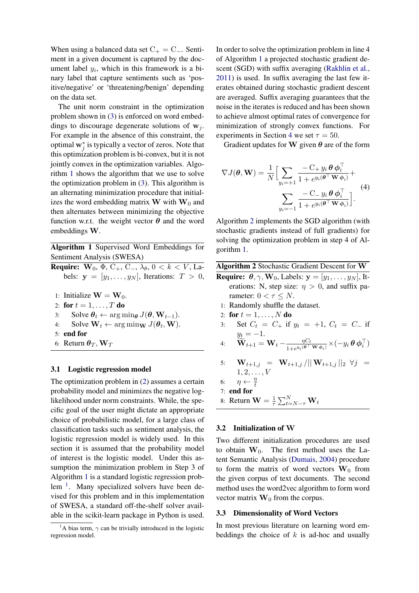When using a balanced data set  $C_+ = C_-.$  Sentiment in a given document is captured by the document label  $y_i$ , which in this framework is a binary label that capture sentiments such as 'positive/negative' or 'threatening/benign' depending on the data set.

The unit norm constraint in the optimization problem shown in [\(3\)](#page-2-2) is enforced on word embeddings to discourage degenerate solutions of  $w_i$ . For example in the absence of this constraint, the optimal  $\mathbf{w}_j^*$  is typically a vector of zeros. Note that this optimization problem is bi-convex, but it is not jointly convex in the optimization variables. Algorithm [1](#page-3-0) shows the algorithm that we use to solve the optimization problem in [\(3\)](#page-2-2). This algorithm is an alternating minimization procedure that initializes the word embedding matrix  $\bf{W}$  with  $\bf{W}_0$  and then alternates between minimizing the objective function w.r.t. the weight vector  $\theta$  and the word embeddings W.

<span id="page-3-0"></span>Algorithm 1 Supervised Word Embeddings for Sentiment Analysis (SWESA)

- **Require:**  $W_0$ ,  $\Phi$ ,  $C_+$ ,  $C_-$ ,  $\lambda_{\theta}$ ,  $0 < k < V$ , Labels:  $y = [y_1, \ldots, y_N]$ , Iterations:  $T > 0$ , 1: Initialize  $\mathbf{W} = \mathbf{W}_0$ . 2: for  $t = 1, ..., T$  do 3: Solve  $\theta_t \leftarrow \arg \min_{\theta} J(\theta, \mathbf{W}_{t-1}).$ 4: Solve  $\mathbf{W}_t \leftarrow \arg \min_{\mathbf{W}} J(\boldsymbol{\theta}_t, \mathbf{W}).$ 5: end for
- 6: Return  $\theta_T$ , W<sub>T</sub>

#### 3.1 Logistic regression model

The optimization problem in [\(2\)](#page-2-3) assumes a certain probability model and minimizes the negative loglikelihood under norm constraints. While, the specific goal of the user might dictate an appropriate choice of probabilistic model, for a large class of classification tasks such as sentiment analysis, the logistic regression model is widely used. In this section it is assumed that the probability model of interest is the logistic model. Under this assumption the minimization problem in Step 3 of Algorithm [1](#page-3-0) is a standard logistic regression prob-lem<sup>[1](#page-3-1)</sup>. Many specialized solvers have been devised for this problem and in this implementation of SWESA, a standard off-the-shelf solver available in the scikit-learn package in Python is used.

In order to solve the optimization problem in line 4 of Algorithm [1](#page-3-0) a projected stochastic gradient descent (SGD) with suffix averaging [\(Rakhlin et al.,](#page-8-16) [2011\)](#page-8-16) is used. In suffix averaging the last few iterates obtained during stochastic gradient descent are averaged. Suffix averaging guarantees that the noise in the iterates is reduced and has been shown to achieve almost optimal rates of convergence for minimization of strongly convex functions. For experiments in Section [4](#page-5-0) we set  $\tau = 50$ .

Gradient updates for W given  $\theta$  are of the form

$$
\nabla J(\boldsymbol{\theta}, \mathbf{W}) = \frac{1}{N} \Big[ \sum_{y_i = +1} \frac{-C_+ y_i \boldsymbol{\theta} \boldsymbol{\phi}_i^{\top}}{1 + e^{y_i(\boldsymbol{\theta}^{\top} \mathbf{W} \boldsymbol{\phi}_i)}} + \sum_{y_i = -1} \frac{-C_- y_i \boldsymbol{\theta} \boldsymbol{\phi}_i^{\top}}{1 + e^{y_i(\boldsymbol{\theta}^{\top} \mathbf{W} \boldsymbol{\phi}_i)}} \Big].
$$
\n(4)

Algorithm [2](#page-3-2) implements the SGD algorithm (with stochastic gradients instead of full gradients) for solving the optimization problem in step 4 of Algorithm [1.](#page-3-0)

<span id="page-3-2"></span>

|  |  | Algorithm 2 Stochastic Gradient Descent for W |  |  |  |  |
|--|--|-----------------------------------------------|--|--|--|--|
|--|--|-----------------------------------------------|--|--|--|--|

- **Require:**  $\theta$ ,  $\gamma$ , **W**<sub>0</sub>, Labels:  $\mathbf{y} = [y_1, \dots, y_N]$ , Iterations: N, step size:  $\eta > 0$ , and suffix parameter:  $0 < \tau \leq N$ .
	- 1: Randomly shuffle the dataset.
- 2: for  $t = 1, ..., N$  do
- 3: Set  $C_t = C_+$  if  $y_t = +1$ ,  $C_t = C_-$  if  $y_t = -1.$
- 4:  $\widetilde{\mathbf{W}}_{t+1} = \mathbf{W}_{t} \frac{\eta C_{t}}{1+e^{y_{i}(\boldsymbol{\theta}^{\top})}}$  $\frac{\eta C_t}{1+e^{y_i(\boldsymbol{\theta}^\top \mathbf{W} \boldsymbol{\phi}_i)}} \times (-y_i \, \boldsymbol{\theta} \, \boldsymbol{\phi}_i^\top)$
- 5:  $\mathbf{W}_{t+1,j} = \mathbf{W}_{t+1,j} / ||\mathbf{W}_{t+1,j}||_2 \ \forall j =$  $1, 2, \ldots, V$
- 6:  $\eta \leftarrow \frac{\eta}{t}$
- 7: end for
- 8: Return  $\mathbf{W} = \frac{1}{\tau}$  $\frac{1}{\tau} \sum_{t=N-\tau}^N \mathbf{W}_t$

#### 3.2 Initialization of W

Two different initialization procedures are used to obtain  $W_0$ . The first method uses the Latent Semantic Analysis [\(Dumais,](#page-8-6) [2004\)](#page-8-6) procedure to form the matrix of word vectors  $W_0$  from the given corpus of text documents. The second method uses the word2vec algorithm to form word vector matrix  $W_0$  from the corpus.

### <span id="page-3-3"></span>3.3 Dimensionality of Word Vectors

In most previous literature on learning word embeddings the choice of  $k$  is ad-hoc and usually

<span id="page-3-1"></span><sup>&</sup>lt;sup>1</sup>A bias term,  $\gamma$  can be trivially introduced in the logistic regression model.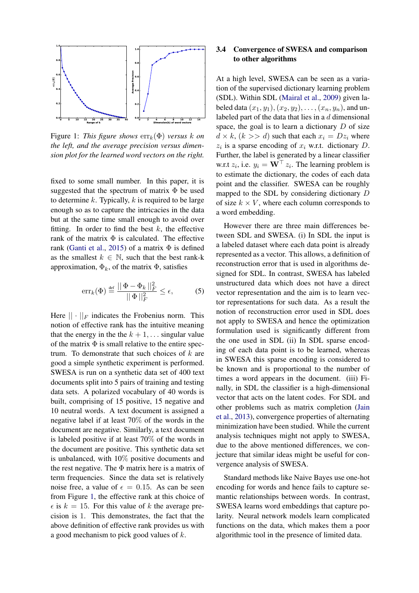<span id="page-4-0"></span>

Figure 1: *This figure shows*  $err_k(\Phi)$  *versus* k on *the left, and the average precision versus dimension plot for the learned word vectors on the right.*

fixed to some small number. In this paper, it is suggested that the spectrum of matrix  $\Phi$  be used to determine  $k$ . Typically,  $k$  is required to be large enough so as to capture the intricacies in the data but at the same time small enough to avoid over fitting. In order to find the best  $k$ , the effective rank of the matrix  $\Phi$  is calculated. The effective rank [\(Ganti et al.,](#page-8-17) [2015\)](#page-8-17) of a matrix  $\Phi$  is defined as the smallest  $k \in \mathbb{N}$ , such that the best rank-k approximation,  $\Phi_k$ , of the matrix  $\Phi$ , satisfies

$$
\operatorname{err}_{k}(\Phi) \stackrel{\text{def}}{=} \frac{||\Phi - \Phi_{k}||_{F}^{2}}{||\Phi||_{F}^{2}} \le \epsilon,
$$
 (5)

Here  $|| \cdot ||_F$  indicates the Frobenius norm. This notion of effective rank has the intuitive meaning that the energy in the the  $k + 1, \ldots$  singular value of the matrix  $\Phi$  is small relative to the entire spectrum. To demonstrate that such choices of  $k$  are good a simple synthetic experiment is performed. SWESA is run on a synthetic data set of 400 text documents split into 5 pairs of training and testing data sets. A polarized vocabulary of 40 words is built, comprising of 15 positive, 15 negative and 10 neutral words. A text document is assigned a negative label if at least 70% of the words in the document are negative. Similarly, a text document is labeled positive if at least 70% of the words in the document are positive. This synthetic data set is unbalanced, with 10% positive documents and the rest negative. The  $\Phi$  matrix here is a matrix of term frequencies. Since the data set is relatively noise free, a value of  $\epsilon = 0.15$ . As can be seen from Figure [1,](#page-4-0) the effective rank at this choice of  $\epsilon$  is  $k = 15$ . For this value of k the average precision is 1. This demonstrates, the fact that the above definition of effective rank provides us with a good mechanism to pick good values of k.

# 3.4 Convergence of SWESA and comparison to other algorithms

At a high level, SWESA can be seen as a variation of the supervised dictionary learning problem (SDL). Within SDL [\(Mairal et al.,](#page-8-18) [2009\)](#page-8-18) given labeled data  $(x_1, y_1), (x_2, y_2), \ldots, (x_n, y_n)$ , and unlabeled part of the data that lies in a  $d$  dimensional space, the goal is to learn a dictionary  $D$  of size  $d \times k$ ,  $(k \gg d)$  such that each  $x_i = Dz_i$  where  $z_i$  is a sparse encoding of  $x_i$  w.r.t. dictionary D. Further, the label is generated by a linear classifier w.r.t  $z_i$ , i.e.  $y_i = \mathbf{W}^\top z_i$ . The learning problem is to estimate the dictionary, the codes of each data point and the classifier. SWESA can be roughly mapped to the SDL by considering dictionary D of size  $k \times V$ , where each column corresponds to a word embedding.

However there are three main differences between SDL and SWESA. (i) In SDL the input is a labeled dataset where each data point is already represented as a vector. This allows, a definition of reconstruction error that is used in algorithms designed for SDL. In contrast, SWESA has labeled unstructured data which does not have a direct vector representation and the aim is to learn vector representations for such data. As a result the notion of reconstruction error used in SDL does not apply to SWESA and hence the optimization formulation used is significantly different from the one used in SDL (ii) In SDL sparse encoding of each data point is to be learned, whereas in SWESA this sparse encoding is considered to be known and is proportional to the number of times a word appears in the document. (iii) Finally, in SDL the classifier is a high-dimensional vector that acts on the latent codes. For SDL and other problems such as matrix completion [\(Jain](#page-8-19) [et al.,](#page-8-19) [2013\)](#page-8-19), convergence properties of alternating minimization have been studied. While the current analysis techniques might not apply to SWESA, due to the above mentioned differences, we conjecture that similar ideas might be useful for convergence analysis of SWESA.

Standard methods like Naive Bayes use one-hot encoding for words and hence fails to capture semantic relationships between words. In contrast, SWESA learns word embeddings that capture polarity. Neural network models learn complicated functions on the data, which makes them a poor algorithmic tool in the presence of limited data.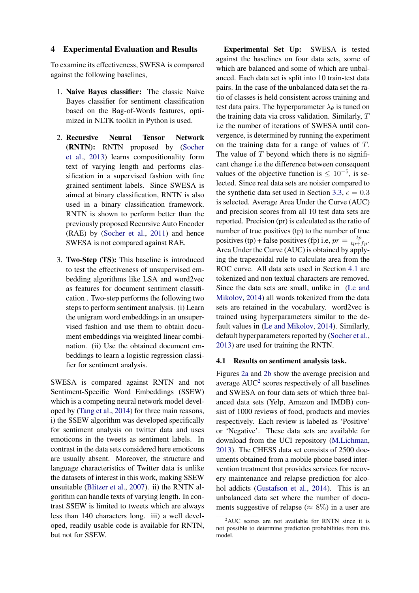### <span id="page-5-0"></span>4 Experimental Evaluation and Results

To examine its effectiveness, SWESA is compared against the following baselines,

- 1. Naive Bayes classifier: The classic Naive Bayes classifier for sentiment classification based on the Bag-of-Words features, optimized in NLTK toolkit in Python is used.
- 2. Recursive Neural Tensor Network (RNTN): RNTN proposed by [\(Socher](#page-8-12) [et al.,](#page-8-12) [2013\)](#page-8-12) learns compositionality form text of varying length and performs classification in a supervised fashion with fine grained sentiment labels. Since SWESA is aimed at binary classification, RNTN is also used in a binary classification framework. RNTN is shown to perform better than the previously proposed Recursive Auto Encoder (RAE) by [\(Socher et al.,](#page-8-20) [2011\)](#page-8-20) and hence SWESA is not compared against RAE.
- 3. Two-Step (TS): This baseline is introduced to test the effectiveness of unsupervised embedding algorithms like LSA and word2vec as features for document sentiment classification . Two-step performs the following two steps to perform sentiment analysis. (i) Learn the unigram word embeddings in an unsupervised fashion and use them to obtain document embeddings via weighted linear combination. (ii) Use the obtained document embeddings to learn a logistic regression classifier for sentiment analysis.

SWESA is compared against RNTN and not Sentiment-Specific Word Embeddings (SSEW) which is a competing neural network model developed by [\(Tang et al.,](#page-9-1) [2014\)](#page-9-1) for three main reasons, i) the SSEW algorithm was developed specifically for sentiment analysis on twitter data and uses emoticons in the tweets as sentiment labels. In contrast in the data sets considered here emoticons are usually absent. Moreover, the structure and language characteristics of Twitter data is unlike the datasets of interest in this work, making SSEW unsuitable [\(Blitzer et al.,](#page-8-21) [2007\)](#page-8-21). ii) the RNTN algorithm can handle texts of varying length. In contrast SSEW is limited to tweets which are always less than 140 characters long. iii) a well developed, readily usable code is available for RNTN, but not for SSEW.

Experimental Set Up: SWESA is tested against the baselines on four data sets, some of which are balanced and some of which are unbalanced. Each data set is split into 10 train-test data pairs. In the case of the unbalanced data set the ratio of classes is held consistent across training and test data pairs. The hyperparameter  $\lambda_{\theta}$  is tuned on the training data via cross validation. Similarly, T i.e the number of iterations of SWESA until convergence, is determined by running the experiment on the training data for a range of values of T. The value of  $T$  beyond which there is no significant change i.e the difference between consequent values of the objective function is  $\leq 10^{-5}$ , is selected. Since real data sets are noisier compared to the synthetic data set used in Section [3.3,](#page-3-3)  $\epsilon = 0.3$ is selected. Average Area Under the Curve (AUC) and precision scores from all 10 test data sets are reported. Precision (pr) is calculated as the ratio of number of true positives (tp) to the number of true positives (tp) + false positives (fp) i.e,  $pr = \frac{tp}{tp + fp}$ . Area Under the Curve (AUC) is obtained by applying the trapezoidal rule to calculate area from the ROC curve. All data sets used in Section [4.1](#page-5-1) are tokenized and non textual characters are removed. Since the data sets are small, unlike in [\(Le and](#page-8-1) [Mikolov,](#page-8-1) [2014\)](#page-8-1) all words tokenized from the data sets are retained in the vocabulary. word2vec is trained using hyperparameters similar to the default values in [\(Le and Mikolov,](#page-8-1) [2014\)](#page-8-1). Similarly, default hyperparameters reported by [\(Socher et al.,](#page-8-12) [2013\)](#page-8-12) are used for training the RNTN.

#### <span id="page-5-1"></span>4.1 Results on sentiment analysis task.

Figures [2a](#page-7-1) and [2b](#page-7-1) show the average precision and average  $AUC<sup>2</sup>$  $AUC<sup>2</sup>$  $AUC<sup>2</sup>$  scores respectively of all baselines and SWESA on four data sets of which three balanced data sets (Yelp, Amazon and IMDB) consist of 1000 reviews of food, products and movies respectively. Each review is labeled as 'Positive' or 'Negative'. These data sets are available for download from the UCI repository [\(M.Lichman,](#page-8-22) [2013\)](#page-8-22). The CHESS data set consists of 2500 documents obtained from a mobile phone based intervention treatment that provides services for recovery maintenance and relapse prediction for alcohol addicts [\(Gustafson et al.,](#page-8-23) [2014\)](#page-8-23). This is an unbalanced data set where the number of documents suggestive of relapse ( $\approx 8\%$ ) in a user are

<span id="page-5-2"></span><sup>&</sup>lt;sup>2</sup>AUC scores are not available for RNTN since it is not possible to determine prediction probabilities from this model.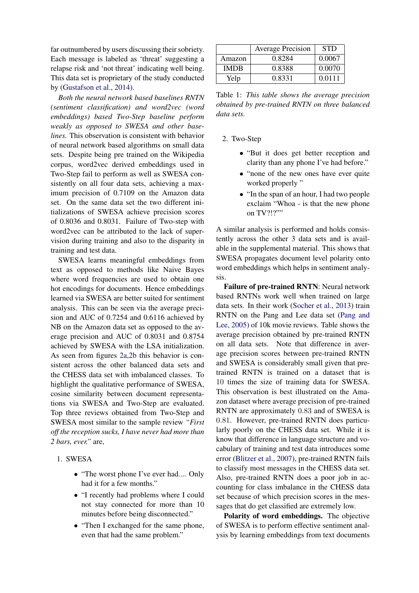far outnumbered by users discussing their sobriety. Each message is labeled as 'threat' suggesting a relapse risk and 'not threat' indicating well being. This data set is proprietary of the study conducted by [\(Gustafson et al.,](#page-8-23) [2014\)](#page-8-23).

*Both the neural network based baselines RNTN (sentiment classification) and word2vec (word embeddings) based Two-Step baseline perform weakly as opposed to SWESA and other baselines.* This observation is consistent with behavior of neural network based algorithms on small data sets. Despite being pre trained on the Wikipedia corpus, word2vec derived embeddings used in Two-Step fail to perform as well as SWESA consistently on all four data sets, achieving a maximum precision of 0.7109 on the Amazon data set. On the same data set the two different initializations of SWESA achieve precision scores of 0.8036 and 0.8031. Failure of Two-step with word2vec can be attributed to the lack of supervision during training and also to the disparity in training and test data.

SWESA learns meaningful embeddings from text as opposed to methods like Naive Bayes where word frequencies are used to obtain one hot encodings for documents. Hence embeddings learned via SWESA are better suited for sentiment analysis. This can be seen via the average precision and AUC of 0.7254 and 0.6116 achieved by NB on the Amazon data set as opposed to the average precision and AUC of 0.8031 and 0.8754 achieved by SWESA with the LSA initialization. As seen from figures [2a,2b](#page-7-1) this behavior is consistent across the other balanced data sets and the CHESS data set with imbalanced classes. To highlight the qualitative performance of SWESA, cosine similarity between document representations via SWESA and Two-Step are evaluated. Top three reviews obtained from Two-Step and SWESA most similar to the sample review *"First off the reception sucks, I have never had more than 2 bars, ever."* are,

- 1. SWESA
	- "The worst phone I've ever had.... Only had it for a few months."
	- "I recently had problems where I could not stay connected for more than 10 minutes before being disconnected."
	- "Then I exchanged for the same phone, even that had the same problem."

|        | <b>Average Precision</b> | <b>STD</b> |
|--------|--------------------------|------------|
| Amazon | 0.8284                   | 0.0067     |
| IMDR   | 0.8388                   | 0.0070     |
| Yelp   | 0.8331                   | 0.0111     |

Table 1: *This table shows the average precision obtained by pre-trained RNTN on three balanced data sets.*

2. Two-Step

- "But it does get better reception and clarity than any phone I've had before."
- "none of the new ones have ever quite worked properly"
- "In the span of an hour, I had two people exclaim "Whoa - is that the new phone on TV?!?""

A similar analysis is performed and holds consistently across the other 3 data sets and is available in the supplemental material. This shows that SWESA propagates document level polarity onto word embeddings which helps in sentiment analysis.

Failure of pre-trained RNTN: Neural network based RNTNs work well when trained on large data sets. In their work [\(Socher et al.,](#page-8-12) [2013\)](#page-8-12) train RNTN on the Pang and Lee data set [\(Pang and](#page-8-13) [Lee,](#page-8-13) [2005\)](#page-8-13) of 10k movie reviews. Table shows the average precision obtained by pre-trained RNTN on all data sets. Note that difference in average precision scores between pre-trained RNTN and SWESA is considerably small given that pretrained RNTN is trained on a dataset that is 10 times the size of training data for SWESA. This observation is best illustrated on the Amazon dataset where average precision of pre-trained RNTN are approximately 0.83 and of SWESA is 0.81. However, pre-trained RNTN does particularly poorly on the CHESS data set. While it is know that difference in language structure and vocabulary of training and test data introduces some error [\(Blitzer et al.,](#page-8-21) [2007\)](#page-8-21), pre-trained RNTN fails to classify most messages in the CHESS data set. Also, pre-trained RNTN does a poor job in accounting for class imbalance in the CHESS data set because of which precision scores in the messages that do get classified are extremely low.

Polarity of word embeddings. The objective of SWESA is to perform effective sentiment analysis by learning embeddings from text documents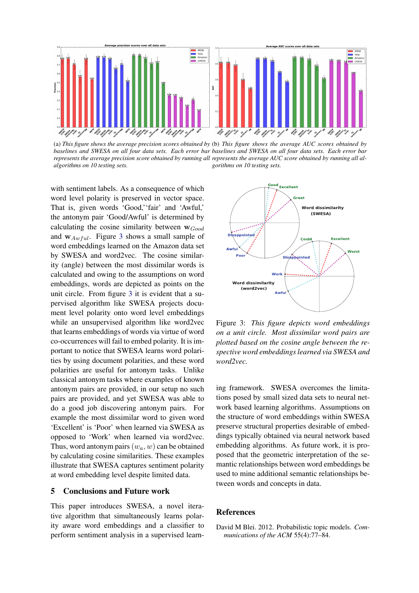<span id="page-7-1"></span>

(a) *This figure shows the average precision scores obtained by* (b) *This figure shows the average AUC scores obtained by baselines and SWESA on all four data sets. Each error bar baselines and SWESA on all four data sets. Each error bar* represents the average precision score obtained by running all represents the average AUC score obtained by running all al*algorithms on 10 testing sets. gorithms on 10 testing sets.*

with sentiment labels. As a consequence of which word level polarity is preserved in vector space. That is, given words 'Good,''fair' and 'Awful,' the antonym pair 'Good/Awful' is determined by calculating the cosine similarity between  $w_{Good}$ and  $w_{Awful}$ . Figure [3](#page-7-2) shows a small sample of word embeddings learned on the Amazon data set by SWESA and word2vec. The cosine similarity (angle) between the most dissimilar words is calculated and owing to the assumptions on word embeddings, words are depicted as points on the unit circle. From figure [3](#page-7-2) it is evident that a supervised algorithm like SWESA projects document level polarity onto word level embeddings while an unsupervised algorithm like word2vec that learns embeddings of words via virtue of word co-occurrences will fail to embed polarity. It is important to notice that SWESA learns word polarities by using document polarities, and these word polarities are useful for antonym tasks. Unlike classical antonym tasks where examples of known antonym pairs are provided, in our setup no such pairs are provided, and yet SWESA was able to do a good job discovering antonym pairs. For example the most dissimilar word to given word 'Excellent' is 'Poor' when learned via SWESA as opposed to 'Work' when learned via word2vec. Thus, word antonym pairs  $(w_a, w)$  can be obtained by calculating cosine similarities. These examples illustrate that SWESA captures sentiment polarity at word embedding level despite limited data.

## 5 Conclusions and Future work

This paper introduces SWESA, a novel iterative algorithm that simultaneously learns polarity aware word embeddings and a classifier to perform sentiment analysis in a supervised learn-

<span id="page-7-2"></span>

Figure 3: *This figure depicts word embeddings on a unit circle. Most dissimilar word pairs are plotted based on the cosine angle between the respective word embeddings learned via SWESA and word2vec.*

ing framework. SWESA overcomes the limitations posed by small sized data sets to neural network based learning algorithms. Assumptions on the structure of word embeddings within SWESA preserve structural properties desirable of embeddings typically obtained via neural network based embedding algorithms. As future work, it is proposed that the geometric interpretation of the semantic relationships between word embeddings be used to mine additional semantic relationships between words and concepts in data.

# **References**

<span id="page-7-0"></span>David M Blei. 2012. Probabilistic topic models. *Communications of the ACM* 55(4):77–84.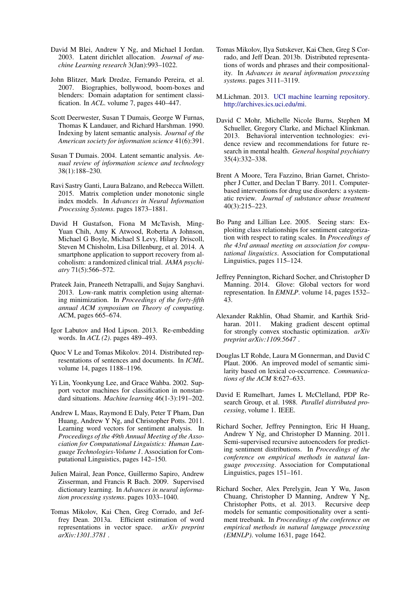- <span id="page-8-10"></span>David M Blei, Andrew Y Ng, and Michael I Jordan. 2003. Latent dirichlet allocation. *Journal of machine Learning research* 3(Jan):993–1022.
- <span id="page-8-21"></span>John Blitzer, Mark Dredze, Fernando Pereira, et al. 2007. Biographies, bollywood, boom-boxes and blenders: Domain adaptation for sentiment classification. In *ACL*. volume 7, pages 440–447.
- <span id="page-8-4"></span>Scott Deerwester, Susan T Dumais, George W Furnas, Thomas K Landauer, and Richard Harshman. 1990. Indexing by latent semantic analysis. *Journal of the American society for information science* 41(6):391.
- <span id="page-8-6"></span>Susan T Dumais. 2004. Latent semantic analysis. *Annual review of information science and technology* 38(1):188–230.
- <span id="page-8-17"></span>Ravi Sastry Ganti, Laura Balzano, and Rebecca Willett. 2015. Matrix completion under monotonic single index models. In *Advances in Neural Information Processing Systems*. pages 1873–1881.
- <span id="page-8-23"></span>David H Gustafson, Fiona M McTavish, Ming-Yuan Chih, Amy K Atwood, Roberta A Johnson, Michael G Boyle, Michael S Levy, Hilary Driscoll, Steven M Chisholm, Lisa Dillenburg, et al. 2014. A smartphone application to support recovery from alcoholism: a randomized clinical trial. *JAMA psychiatry* 71(5):566–572.
- <span id="page-8-19"></span>Prateek Jain, Praneeth Netrapalli, and Sujay Sanghavi. 2013. Low-rank matrix completion using alternating minimization. In *Proceedings of the forty-fifth annual ACM symposium on Theory of computing*. ACM, pages 665–674.
- <span id="page-8-14"></span>Igor Labutov and Hod Lipson. 2013. Re-embedding words. In *ACL (2)*. pages 489–493.
- <span id="page-8-1"></span>Quoc V Le and Tomas Mikolov. 2014. Distributed representations of sentences and documents. In *ICML*. volume 14, pages 1188–1196.
- <span id="page-8-15"></span>Yi Lin, Yoonkyung Lee, and Grace Wahba. 2002. Support vector machines for classification in nonstandard situations. *Machine learning* 46(1-3):191–202.
- <span id="page-8-11"></span>Andrew L Maas, Raymond E Daly, Peter T Pham, Dan Huang, Andrew Y Ng, and Christopher Potts. 2011. Learning word vectors for sentiment analysis. In *Proceedings of the 49th Annual Meeting of the Association for Computational Linguistics: Human Language Technologies-Volume 1*. Association for Computational Linguistics, pages 142–150.
- <span id="page-8-18"></span>Julien Mairal, Jean Ponce, Guillermo Sapiro, Andrew Zisserman, and Francis R Bach. 2009. Supervised dictionary learning. In *Advances in neural information processing systems*. pages 1033–1040.
- <span id="page-8-8"></span>Tomas Mikolov, Kai Chen, Greg Corrado, and Jeffrey Dean. 2013a. Efficient estimation of word representations in vector space. *arXiv preprint arXiv:1301.3781* .
- <span id="page-8-0"></span>Tomas Mikolov, Ilya Sutskever, Kai Chen, Greg S Corrado, and Jeff Dean. 2013b. Distributed representations of words and phrases and their compositionality. In *Advances in neural information processing systems*. pages 3111–3119.
- <span id="page-8-22"></span>M.Lichman. 2013. [UCI machine learning repository.](http://archives.ics.uci.edu/mi) [http://archives.ics.uci.edu/mi.](http://archives.ics.uci.edu/mi)
- <span id="page-8-2"></span>David C Mohr, Michelle Nicole Burns, Stephen M Schueller, Gregory Clarke, and Michael Klinkman. 2013. Behavioral intervention technologies: evidence review and recommendations for future research in mental health. *General hospital psychiatry* 35(4):332–338.
- <span id="page-8-3"></span>Brent A Moore, Tera Fazzino, Brian Garnet, Christopher J Cutter, and Declan T Barry. 2011. Computerbased interventions for drug use disorders: a systematic review. *Journal of substance abuse treatment* 40(3):215–223.
- <span id="page-8-13"></span>Bo Pang and Lillian Lee. 2005. Seeing stars: Exploiting class relationships for sentiment categorization with respect to rating scales. In *Proceedings of the 43rd annual meeting on association for computational linguistics*. Association for Computational Linguistics, pages 115–124.
- <span id="page-8-9"></span>Jeffrey Pennington, Richard Socher, and Christopher D Manning. 2014. Glove: Global vectors for word representation. In *EMNLP*. volume 14, pages 1532– 43.
- <span id="page-8-16"></span>Alexander Rakhlin, Ohad Shamir, and Karthik Sridharan. 2011. Making gradient descent optimal for strongly convex stochastic optimization. *arXiv preprint arXiv:1109.5647* .
- <span id="page-8-5"></span>Douglas LT Rohde, Laura M Gonnerman, and David C Plaut. 2006. An improved model of semantic similarity based on lexical co-occurrence. *Communications of the ACM* 8:627–633.
- <span id="page-8-7"></span>David E Rumelhart, James L McClelland, PDP Research Group, et al. 1988. *Parallel distributed processing*, volume 1. IEEE.
- <span id="page-8-20"></span>Richard Socher, Jeffrey Pennington, Eric H Huang, Andrew Y Ng, and Christopher D Manning. 2011. Semi-supervised recursive autoencoders for predicting sentiment distributions. In *Proceedings of the conference on empirical methods in natural language processing*. Association for Computational Linguistics, pages 151–161.
- <span id="page-8-12"></span>Richard Socher, Alex Perelygin, Jean Y Wu, Jason Chuang, Christopher D Manning, Andrew Y Ng, Christopher Potts, et al. 2013. Recursive deep models for semantic compositionality over a sentiment treebank. In *Proceedings of the conference on empirical methods in natural language processing (EMNLP)*. volume 1631, page 1642.